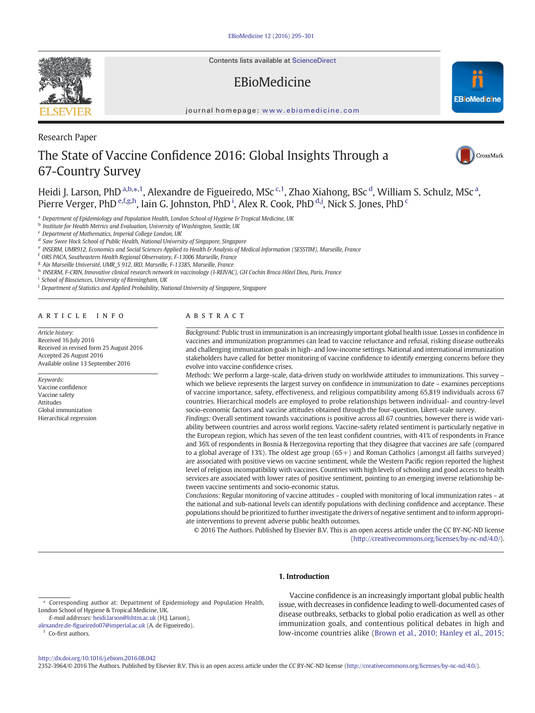Contents lists available at [ScienceDirect](http://www.sciencedirect.com/science/journal/03064603)

## EBioMedicine

journal homepage: <www.ebiomedicine.com>

# The State of Vaccine Confidence 2016: Global Insights Through a 67-Country Survey

Heidi J. Larson, PhD <sup>a,b,</sup>\*,<sup>1</sup>, Alexandre de Figueiredo, MSc <sup>c,1</sup>, Zhao Xiahong, BSc <sup>d</sup>, William S. Schulz, MSc <sup>a</sup>, Pierre Verger, PhD <sup>e,f,g,h</sup>, Iain G. Johnston, PhD <sup>i</sup>, Alex R. Cook, PhD <sup>d,j</sup>, Nick S. Jones, PhD <sup>c</sup>

a Department of Epidemiology and Population Health, London School of Hygiene & Tropical Medicine, UK

**b** Institute for Health Metrics and Evaluation, University of Washington, Seattle, UK

<sup>c</sup> Department of Mathematics, Imperial College London, UK

<sup>d</sup> Saw Swee Hock School of Public Health, National University of Singapore, Singapore

<sup>e</sup> INSERM, UMR912, Economics and Social Sciences Applied to Health & Analysis of Medical Information (SESSTIM), Marseille, France

<sup>f</sup> ORS PACA, Southeastern Health Regional Observatory, F-13006 Marseille, France

<sup>g</sup> Aix Marseille Université, UMR\_S 912, IRD, Marseille, F-13385, Marseille, France

h INSERM, F-CRIN, Innovative clinical research network in vaccinology (I-REIVAC), GH Cochin Broca Hôtel Dieu, Paris, France

<sup>i</sup> School of Biosciences, University of Birmingham, UK

<sup>j</sup> Department of Statistics and Applied Probability, National University of Singapore, Singapore

#### article info abstract

Article history: Received 16 July 2016 Received in revised form 25 August 2016 Accepted 26 August 2016 Available online 13 September 2016

Keywords: Vaccine confidence Vaccine safety Attitudes Global immunization Hierarchical regression

Background: Public trust in immunization is an increasingly important global health issue. Losses in confidence in vaccines and immunization programmes can lead to vaccine reluctance and refusal, risking disease outbreaks and challenging immunization goals in high- and low-income settings. National and international immunization stakeholders have called for better monitoring of vaccine confidence to identify emerging concerns before they evolve into vaccine confidence crises.

Methods: We perform a large-scale, data-driven study on worldwide attitudes to immunizations. This survey – which we believe represents the largest survey on confidence in immunization to date – examines perceptions of vaccine importance, safety, effectiveness, and religious compatibility among 65,819 individuals across 67 countries. Hierarchical models are employed to probe relationships between individual- and country-level socio-economic factors and vaccine attitudes obtained through the four-question, Likert-scale survey.

Findings: Overall sentiment towards vaccinations is positive across all 67 countries, however there is wide variability between countries and across world regions. Vaccine-safety related sentiment is particularly negative in the European region, which has seven of the ten least confident countries, with 41% of respondents in France and 36% of respondents in Bosnia & Herzegovina reporting that they disagree that vaccines are safe (compared to a global average of 13%). The oldest age group  $(65+)$  and Roman Catholics (amongst all faiths surveyed) are associated with positive views on vaccine sentiment, while the Western Pacific region reported the highest level of religious incompatibility with vaccines. Countries with high levels of schooling and good access to health services are associated with lower rates of positive sentiment, pointing to an emerging inverse relationship between vaccine sentiments and socio-economic status.

Conclusions: Regular monitoring of vaccine attitudes – coupled with monitoring of local immunization rates – at the national and sub-national levels can identify populations with declining confidence and acceptance. These populations should be prioritized to further investigate the drivers of negative sentiment and to inform appropriate interventions to prevent adverse public health outcomes.

© 2016 The Authors. Published by Elsevier B.V. This is an open access article under the CC BY-NC-ND license (http://creativecommons.org/licenses/by-nc-nd/4.0/).

#### 1. Introduction

E-mail addresses: heidi.larson@lshtm.ac.uk (H.J. Larson),

Vaccine confidence is an increasingly important global public health issue, with decreases in confidence leading to well-documented cases of disease outbreaks, setbacks to global polio eradication as well as other immunization goals, and contentious political debates in high and low-income countries alike [\(Brown et al., 2010; Hanley et al., 2015;](#page-6-0)

2352-3964/© 2016 The Authors. Published by Elsevier B.V. This is an open access article under the CC BY-NC-ND license (http://creativecommons.org/licenses/by-nc-nd/4.0/).



Research Paper





<sup>⁎</sup> Corresponding author at: Department of Epidemiology and Population Health, London School of Hygiene & Tropical Medicine, UK.

alexandre.de-fi[gueiredo07@imperial.ac.uk](mailto:alexandre.de-figueiredo07@imperial.ac.uk) (A. de Figueiredo). <sup>1</sup> Co-first authors.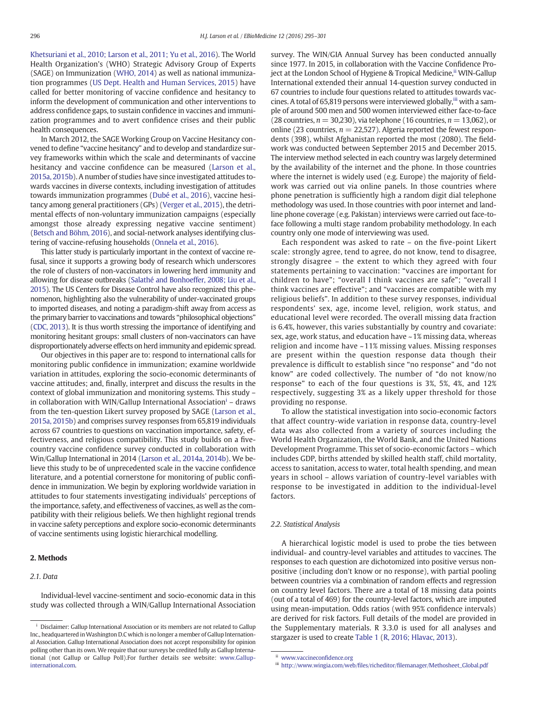[Khetsuriani et al., 2010; Larson et al., 2011; Yu et al., 2016\)](#page-6-0). The World Health Organization's (WHO) Strategic Advisory Group of Experts (SAGE) on Immunization ([WHO, 2014](#page-6-0)) as well as national immunization programmes [\(US Dept. Health and Human Services, 2015\)](#page-6-0) have called for better monitoring of vaccine confidence and hesitancy to inform the development of communication and other interventions to address confidence gaps, to sustain confidence in vaccines and immunization programmes and to avert confidence crises and their public health consequences.

In March 2012, the SAGE Working Group on Vaccine Hesitancy convened to define "vaccine hesitancy" and to develop and standardize survey frameworks within which the scale and determinants of vaccine hesitancy and vaccine confidence can be measured [\(Larson et al.,](#page-6-0) [2015a, 2015b](#page-6-0)). A number of studies have since investigated attitudes towards vaccines in diverse contexts, including investigation of attitudes towards immunization programmes ([Dubé et al., 2016](#page-6-0)), vaccine hesitancy among general practitioners (GPs) [\(Verger et al., 2015\)](#page-6-0), the detrimental effects of non-voluntary immunization campaigns (especially amongst those already expressing negative vaccine sentiment) [\(Betsch and Böhm, 2016](#page-6-0)), and social-network analyses identifying clustering of vaccine-refusing households [\(Onnela et al., 2016](#page-6-0)).

This latter study is particularly important in the context of vaccine refusal, since it supports a growing body of research which underscores the role of clusters of non-vaccinators in lowering herd immunity and allowing for disease outbreaks [\(Salathé and Bonhoeffer, 2008; Liu et al.,](#page-6-0) [2015](#page-6-0)). The US Centers for Disease Control have also recognized this phenomenon, highlighting also the vulnerability of under-vaccinated groups to imported diseases, and noting a paradigm-shift away from access as the primary barrier to vaccinations and towards "philosophical objections" [\(CDC, 2013\)](#page-6-0). It is thus worth stressing the importance of identifying and monitoring hesitant groups: small clusters of non-vaccinators can have disproportionately adverse effects on herd immunity and epidemic spread.

Our objectives in this paper are to: respond to international calls for monitoring public confidence in immunization; examine worldwide variation in attitudes, exploring the socio-economic determinants of vaccine attitudes; and, finally, interpret and discuss the results in the context of global immunization and monitoring systems. This study – in collaboration with WIN/Gallup International Association<sup>i</sup> – draws from the ten-question Likert survey proposed by SAGE [\(Larson et al.,](#page-6-0) [2015a, 2015b](#page-6-0)) and comprises survey responses from 65,819 individuals across 67 countries to questions on vaccination importance, safety, effectiveness, and religious compatibility. This study builds on a fivecountry vaccine confidence survey conducted in collaboration with Win/Gallup International in 2014 [\(Larson et al., 2014a, 2014b](#page-6-0)). We believe this study to be of unprecedented scale in the vaccine confidence literature, and a potential cornerstone for monitoring of public confidence in immunization. We begin by exploring worldwide variation in attitudes to four statements investigating individuals' perceptions of the importance, safety, and effectiveness of vaccines, as well as the compatibility with their religious beliefs. We then highlight regional trends in vaccine safety perceptions and explore socio-economic determinants of vaccine sentiments using logistic hierarchical modelling.

#### 2. Methods

#### 2.1. Data

Individual-level vaccine-sentiment and socio-economic data in this study was collected through a WIN/Gallup International Association survey. The WIN/GIA Annual Survey has been conducted annually since 1977. In 2015, in collaboration with the Vaccine Confidence Project at the London School of Hygiene & Tropical Medicine, <sup>ii</sup> WIN-Gallup International extended their annual 14-question survey conducted in 67 countries to include four questions related to attitudes towards vaccines. A total of 65,819 persons were interviewed globally, iii with a sample of around 500 men and 500 women interviewed either face-to-face (28 countries,  $n = 30,230$ ), via telephone (16 countries,  $n = 13,062$ ), or online (23 countries,  $n = 22,527$ ). Algeria reported the fewest respondents (398), whilst Afghanistan reported the most (2080). The fieldwork was conducted between September 2015 and December 2015. The interview method selected in each country was largely determined by the availability of the internet and the phone. In those countries where the internet is widely used (e.g. Europe) the majority of fieldwork was carried out via online panels. In those countries where phone penetration is sufficiently high a random digit dial telephone methodology was used. In those countries with poor internet and landline phone coverage (e.g. Pakistan) interviews were carried out face-toface following a multi stage random probability methodology. In each country only one mode of interviewing was used.

Each respondent was asked to rate – on the five-point Likert scale: strongly agree, tend to agree, do not know, tend to disagree, strongly disagree – the extent to which they agreed with four statements pertaining to vaccination: "vaccines are important for children to have"; "overall I think vaccines are safe"; "overall I think vaccines are effective"; and "vaccines are compatible with my religious beliefs". In addition to these survey responses, individual respondents' sex, age, income level, religion, work status, and educational level were recorded. The overall missing data fraction is 6.4%, however, this varies substantially by country and covariate: sex, age, work status, and education have ~ 1% missing data, whereas religion and income have ~11% missing values. Missing responses are present within the question response data though their prevalence is difficult to establish since "no response" and "do not know" are coded collectively. The number of "do not know/no response" to each of the four questions is 3%, 5%, 4%, and 12% respectively, suggesting 3% as a likely upper threshold for those providing no response.

To allow the statistical investigation into socio-economic factors that affect country-wide variation in response data, country-level data was also collected from a variety of sources including the World Health Organization, the World Bank, and the United Nations Development Programme. This set of socio-economic factors – which includes GDP, births attended by skilled health staff, child mortality, access to sanitation, access to water, total health spending, and mean years in school – allows variation of country-level variables with response to be investigated in addition to the individual-level factors.

#### 2.2. Statistical Analysis

A hierarchical logistic model is used to probe the ties between individual- and country-level variables and attitudes to vaccines. The responses to each question are dichotomized into positive versus nonpositive (including don't know or no response), with partial pooling between countries via a combination of random effects and regression on country level factors. There are a total of 18 missing data points (out of a total of 469) for the country-level factors, which are imputed using mean-imputation. Odds ratios (with 95% confidence intervals) are derived for risk factors. Full details of the model are provided in the Supplementary materials. R 3.3.0 is used for all analyses and stargazer is used to create [Table 1](#page-4-0) [\(R, 2016; Hlavac, 2013\)](#page-6-0).

<sup>&</sup>lt;sup>i</sup> Disclaimer: Gallup International Association or its members are not related to Gallup Inc., headquartered inWashington D.C which is no longer a member of Gallup International Association. Gallup International Association does not accept responsibility for opinion polling other than its own. We require that our surveys be credited fully as Gallup International (not Gallup or Gallup Poll).For further details see website: [www.Gallup](http://www.gallup-international.com/)[international.com.](http://www.gallup-international.com/)

ii [www.vaccinecon](http://www.vaccineconfidence.org)fidence.org

iii http://www.wingia.com/web/files/richeditor/fi[lemanager/Methosheet\\_Global.pdf](http://www.wingia.com/web/files/richeditor/filemanager/Methosheet_Global.pdf)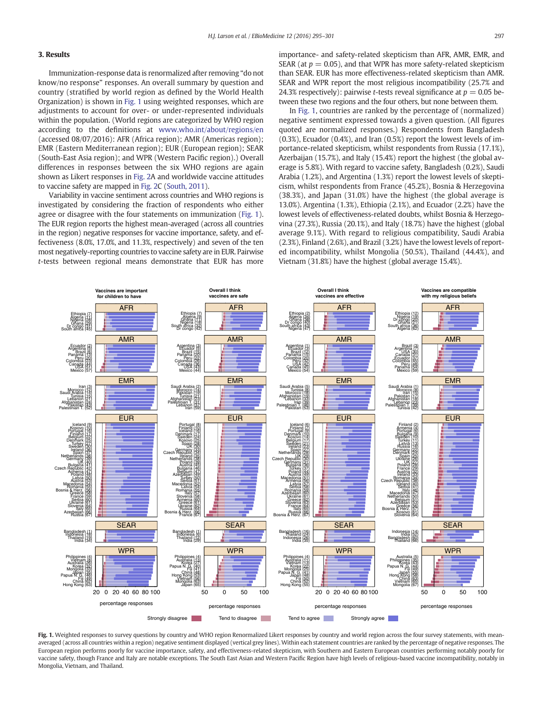### 3. Results

Immunization-response data is renormalized after removing "do not know/no response" responses. An overall summary by question and country (stratified by world region as defined by the World Health Organization) is shown in Fig. 1 using weighted responses, which are adjustments to account for over- or under-represented individuals within the population. (World regions are categorized by WHO region according to the definitions at [www.who.int/about/regions/en](http://www.who.int/about/regions/en) (accessed 08/07/2016): AFR (Africa region); AMR (Americas region); EMR (Eastern Mediterranean region); EUR (European region); SEAR (South-East Asia region); and WPR (Western Pacific region).) Overall differences in responses between the six WHO regions are again shown as Likert responses in [Fig. 2A](#page-3-0) and worldwide vaccine attitudes to vaccine safety are mapped in [Fig. 2C](#page-3-0) ([South, 2011\)](#page-6-0).

Variability in vaccine sentiment across countries and WHO regions is investigated by considering the fraction of respondents who either agree or disagree with the four statements on immunization (Fig. 1). The EUR region reports the highest mean-averaged (across all countries in the region) negative responses for vaccine importance, safety, and effectiveness (8.0%, 17.0%, and 11.3%, respectively) and seven of the ten most negatively-reporting countries to vaccine safety are in EUR. Pairwise t-tests between regional means demonstrate that EUR has more importance- and safety-related skepticism than AFR, AMR, EMR, and SEAR (at  $p = 0.05$ ), and that WPR has more safety-related skepticism than SEAR. EUR has more effectiveness-related skepticism than AMR. SEAR and WPR report the most religious incompatibility (25.7% and 24.3% respectively): pairwise *t*-tests reveal significance at  $p = 0.05$  between these two regions and the four others, but none between them.

In Fig. 1, countries are ranked by the percentage of (normalized) negative sentiment expressed towards a given question. (All figures quoted are normalized responses.) Respondents from Bangladesh (0.3%), Ecuador (0.4%), and Iran (0.5%) report the lowest levels of importance-related skepticism, whilst respondents from Russia (17.1%), Azerbaijan (15.7%), and Italy (15.4%) report the highest (the global average is 5.8%). With regard to vaccine safety, Bangladesh (0.2%), Saudi Arabia (1.2%), and Argentina (1.3%) report the lowest levels of skepticism, whilst respondents from France (45.2%), Bosnia & Herzegovina (38.3%), and Japan (31.0%) have the highest (the global average is 13.0%). Argentina (1.3%), Ethiopia (2.1%), and Ecuador (2.2%) have the lowest levels of effectiveness-related doubts, whilst Bosnia & Herzegovina (27.3%), Russia (20.1%), and Italy (18.7%) have the highest (global average 9.1%). With regard to religious compatibility, Saudi Arabia (2.3%), Finland (2.6%), and Brazil (3.2%) have the lowest levels of reported incompatibility, whilst Mongolia (50.5%), Thailand (44.4%), and Vietnam (31.8%) have the highest (global average 15.4%).



Fig. 1. Weighted responses to survey questions by country and WHO region Renormalized Likert responses by country and world region across the four survey statements, with meanaveraged (across all countries within a region) negative sentiment displayed (vertical grey lines). Within each statement countries are ranked by the percentage of negative responses. The European region performs poorly for vaccine importance, safety, and effectiveness-related skepticism, with Southern and Eastern European countries performing notably poorly for vaccine safety, though France and Italy are notable exceptions. The South East Asian and Western Pacific Region have high levels of religious-based vaccine incompatibility, notably in Mongolia, Vietnam, and Thailand.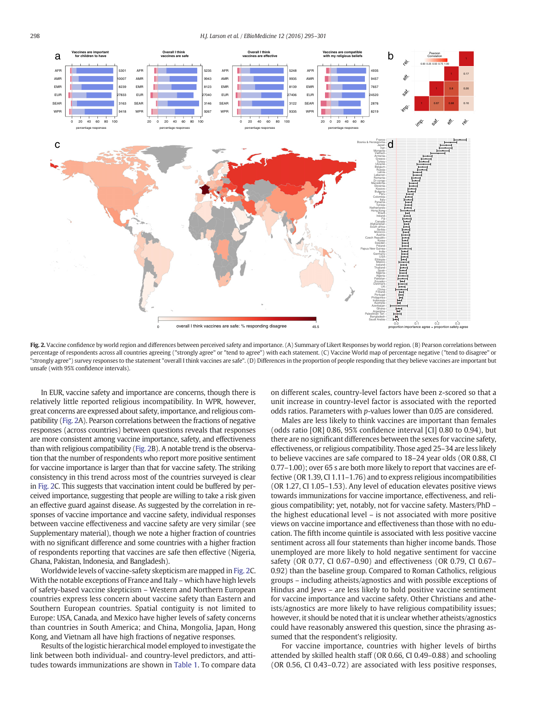<span id="page-3-0"></span>298 H.J. Larson et al. / EBioMedicine 12 (2016) 295–301



Fig. 2. Vaccine confidence by world region and differences between perceived safety and importance. (A) Summary of Likert Responses by world region. (B) Pearson correlations between percentage of respondents across all countries agreeing ("strongly agree" or "tend to agree") with each statement. (C) Vaccine World map of percentage negative ("tend to disagree" or "strongly agree") survey responses to the statement "overall I think vaccines are safe". (D) Differences in the proportion of people responding that they believe vaccines are important but unsafe (with 95% confidence intervals).

In EUR, vaccine safety and importance are concerns, though there is relatively little reported religious incompatibility. In WPR, however, great concerns are expressed about safety, importance, and religious compatibility (Fig. 2A). Pearson correlations between the fractions of negative responses (across countries) between questions reveals that responses are more consistent among vaccine importance, safety, and effectiveness than with religious compatibility (Fig. 2B). A notable trend is the observation that the number of respondents who report more positive sentiment for vaccine importance is larger than that for vaccine safety. The striking consistency in this trend across most of the countries surveyed is clear in Fig. 2C. This suggests that vaccination intent could be buffered by perceived importance, suggesting that people are willing to take a risk given an effective guard against disease. As suggested by the correlation in responses of vaccine importance and vaccine safety, individual responses between vaccine effectiveness and vaccine safety are very similar (see Supplementary material), though we note a higher fraction of countries with no significant difference and some countries with a higher fraction of respondents reporting that vaccines are safe then effective (Nigeria, Ghana, Pakistan, Indonesia, and Bangladesh).

Worldwide levels of vaccine-safety skepticism are mapped in Fig. 2C. With the notable exceptions of France and Italy – which have high levels of safety-based vaccine skepticism – Western and Northern European countries express less concern about vaccine safety than Eastern and Southern European countries. Spatial contiguity is not limited to Europe: USA, Canada, and Mexico have higher levels of safety concerns than countries in South America; and China, Mongolia, Japan, Hong Kong, and Vietnam all have high fractions of negative responses.

Results of the logistic hierarchical model employed to investigate the link between both individual- and country-level predictors, and attitudes towards immunizations are shown in [Table 1](#page-4-0). To compare data on different scales, country-level factors have been z-scored so that a unit increase in country-level factor is associated with the reported odds ratios. Parameters with p-values lower than 0.05 are considered.

Males are less likely to think vaccines are important than females (odds ratio [OR] 0.86, 95% confidence interval [CI] 0.80 to 0.94), but there are no significant differences between the sexes for vaccine safety, effectiveness, or religious compatibility. Those aged 25–34 are less likely to believe vaccines are safe compared to 18–24 year olds (OR 0.88, CI 0.77–1.00); over 65 s are both more likely to report that vaccines are effective (OR 1.39, CI 1.11–1.76) and to express religious incompatibilities (OR 1.27, CI 1.05–1.53). Any level of education elevates positive views towards immunizations for vaccine importance, effectiveness, and religious compatibility; yet, notably, not for vaccine safety. Masters/PhD – the highest educational level – is not associated with more positive views on vaccine importance and effectiveness than those with no education. The fifth income quintile is associated with less positive vaccine sentiment across all four statements than higher income bands. Those unemployed are more likely to hold negative sentiment for vaccine safety (OR 0.77, CI 0.67–0.90) and effectiveness (OR 0.79, CI 0.67– 0.92) than the baseline group. Compared to Roman Catholics, religious groups – including atheists/agnostics and with possible exceptions of Hindus and Jews – are less likely to hold positive vaccine sentiment for vaccine importance and vaccine safety. Other Christians and atheists/agnostics are more likely to have religious compatibility issues; however, it should be noted that it is unclear whether atheists/agnostics could have reasonably answered this question, since the phrasing assumed that the respondent's religiosity.

For vaccine importance, countries with higher levels of births attended by skilled health staff (OR 0.66, CI 0.49–0.88) and schooling (OR 0.56, CI 0.43–0.72) are associated with less positive responses,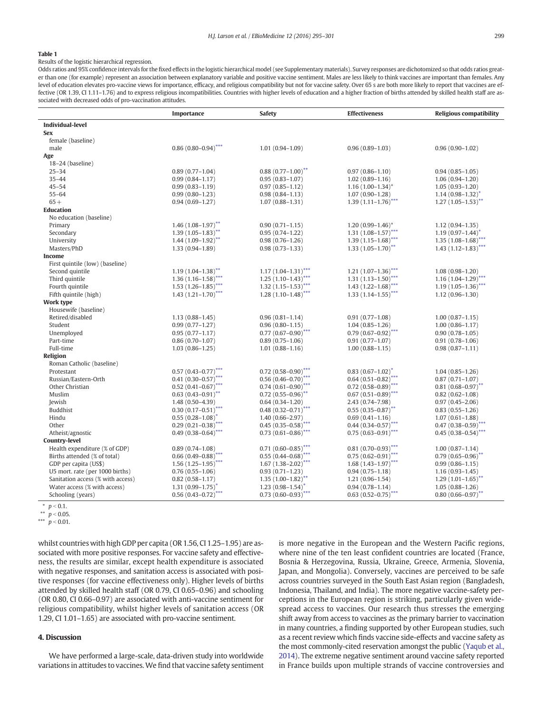#### <span id="page-4-0"></span>Table 1

Results of the logistic hierarchical regression.

Odds ratios and 95% confidence intervals for the fixed effects in the logistic hierarchical model (see Supplementary materials). Survey responses are dichotomized so that odds ratios greater than one (for example) represent an association between explanatory variable and positive vaccine sentiment. Males are less likely to think vaccines are important than females. Any level of education elevates pro-vaccine views for importance, efficacy, and religious compatibility but not for vaccine safety. Over 65 s are both more likely to report that vaccines are effective (OR 1.39, CI 1.11–1.76) and to express religious incompatibilities. Countries with higher levels of education and a higher fraction of births attended by skilled health staff are associated with decreased odds of pro-vaccination attitudes.

|                                   | Importance                      | <b>Safety</b>                                | <b>Effectiveness</b>                         | <b>Religious compatibility</b>             |
|-----------------------------------|---------------------------------|----------------------------------------------|----------------------------------------------|--------------------------------------------|
| <b>Individual-level</b>           |                                 |                                              |                                              |                                            |
| <b>Sex</b>                        |                                 |                                              |                                              |                                            |
| female (baseline)                 |                                 |                                              |                                              |                                            |
| male                              | $0.86(0.80 - 0.94)$ ***         | $1.01(0.94 - 1.09)$                          | $0.96(0.89 - 1.03)$                          | $0.96(0.90-1.02)$                          |
| Age                               |                                 |                                              |                                              |                                            |
| $18-24$ (baseline)                |                                 |                                              |                                              |                                            |
| $25 - 34$                         | $0.89(0.77-1.04)$               | $0.88(0.77-1.00)$ <sup>**</sup>              | $0.97(0.86 - 1.10)$                          | $0.94(0.85-1.05)$                          |
| $35 - 44$                         | $0.99(0.84 - 1.17)$             | $0.95(0.83 - 1.07)$                          | $1.02(0.89 - 1.16)$                          | $1.06(0.94 - 1.20)$                        |
| $45 - 54$                         | $0.99(0.83 - 1.19)$             | $0.97(0.85 - 1.12)$                          | $1.16(1.00-1.34)^*$                          | $1.05(0.93 - 1.20)$                        |
| $55 - 64$                         | $0.99(0.80 - 1.23)$             | $0.98(0.84 - 1.13)$                          | $1.07(0.90 - 1.28)$                          | $1.14(0.98-1.32)^{*}$                      |
| $65+$                             | $0.94(0.69 - 1.27)$             | $1.07(0.88 - 1.31)$                          | $1.39(1.11-1.76)$ ***                        | $1.27(1.05-1.53)$ **                       |
| <b>Education</b>                  |                                 |                                              |                                              |                                            |
| No education (baseline)           |                                 |                                              |                                              |                                            |
| Primary                           | $1.46(1.08-1.97)$ <sup>**</sup> | $0.90(0.71 - 1.15)$                          | $1.20(0.99 - 1.46)^*$                        | $1.12(0.94 - 1.35)$                        |
| Secondary                         | $1.39(1.05 - 1.83)$ **          | $0.95(0.74 - 1.22)$                          | 1.31 $(1.08-1.57)$ ***                       | $1.19(0.97 - 1.44)^*$                      |
| University                        | $1.44(1.09-1.92)$ **            | $0.98(0.76 - 1.26)$                          | 1.39 $(1.15-1.68)$ ***                       | 1.35 $(1.08-1.68)$ ***                     |
| Masters/PhD                       | $1.33(0.94 - 1.89)$             | $0.98(0.73 - 1.33)$                          | $1.33(1.05-1.70)$ <sup>**</sup>              | $1.43(1.12-1.83)$ ***                      |
| Income                            |                                 |                                              |                                              |                                            |
| First quintile (low) (baseline)   |                                 |                                              |                                              |                                            |
| Second quintile                   | $1.19(1.04 - 1.38)$ **          | $1.17(1.04-1.31)$ ***                        | $1.21 (1.07 - 1.36)$ ***                     | $1.08(0.98 - 1.20)$                        |
| Third quintile                    | $1.36(1.16-1.58)$ ***           | $1.25(1.10-1.43)$ ***                        | $1.31 (1.13 - 1.50)$ ***                     | $1.16(1.04-1.29)$ ***                      |
| Fourth quintile                   | $1.53(1.26-1.85)$ ***           | $1.32(1.15-1.53)$ ***                        | 1.43 $(1.22 - 1.68)$ ***                     | $1.19(1.05-1.36)$ ***                      |
| Fifth quintile (high)             | $1.43(1.21-1.70)$ ***           | $1.28(1.10-1.48)$ ***                        | $1.33(1.14-1.55)$ ***                        | $1.12(0.96-1.30)$                          |
| <b>Work type</b>                  |                                 |                                              |                                              |                                            |
| Housewife (baseline)              |                                 |                                              |                                              |                                            |
| Retired/disabled                  | $1.13(0.88 - 1.45)$             | $0.96(0.81 - 1.14)$                          | $0.91(0.77-1.08)$                            | $1.00(0.87-1.15)$                          |
| Student                           | $0.99(0.77 - 1.27)$             | $0.96(0.80 - 1.15)$                          | $1.04(0.85 - 1.26)$                          | $1.00(0.86 - 1.17)$                        |
| Unemployed                        | $0.95(0.77 - 1.17)$             | $0.77(0.67-0.90)$ ***<br>$0.89(0.75 - 1.06)$ | $0.79(0.67-0.92)$ ***<br>$0.91(0.77 - 1.07)$ | $0.90(0.78 - 1.05)$<br>$0.91(0.78 - 1.06)$ |
| Part-time                         | $0.86(0.70 - 1.07)$             |                                              |                                              | $0.98(0.87 - 1.11)$                        |
| Full-time<br>Religion             | $1.03(0.86 - 1.25)$             | $1.01(0.88 - 1.16)$                          | $1.00(0.88 - 1.15)$                          |                                            |
| Roman Catholic (baseline)         |                                 |                                              |                                              |                                            |
| Protestant                        | $0.57(0.43 - 0.77)$ ***         | $0.72$ $(0.58 - 0.90)$ ***                   | $0.83(0.67-1.02)^{*}$                        | $1.04(0.85 - 1.26)$                        |
| Russian/Eastern-Orth              | 0.41 $(0.30 - 0.57)$ ***        | $0.56(0.46 - 0.70)$ ***                      | $0.64(0.51-0.82)$ ***                        | $0.87(0.71 - 1.07)$                        |
| Other Christian                   | 0.52 $(0.41 - 0.67)$ ***        | $0.74(0.61-0.90)$ ***                        | 0.72 $(0.58 - 0.89)$ ***                     | $0.81(0.68 - 0.97)$ **                     |
| Muslim                            | $0.63(0.43 - 0.91)^{**}$        | $0.72$ $(0.55 - 0.96)$ **                    | $0.67(0.51 - 0.89)$ ***                      | $0.82(0.62 - 1.08)$                        |
| Jewish                            | $1.48(0.50-4.39)$               | $0.64(0.34 - 1.20)$                          | $2.43(0.74 - 7.98)$                          | $0.97(0.45 - 2.06)$                        |
| Buddhist                          | $0.30(0.17 - 0.51)$ ***         | 0.48 $(0.32 - 0.71)$ ***                     | $0.55(0.35-0.87)$ **                         | $0.83(0.55 - 1.26)$                        |
| Hindu                             | $0.55(0.28 - 1.08)^{^{\circ}}$  | $1.40(0.66 - 2.97)$                          | $0.69(0.41 - 1.16)$                          | $1.07(0.61 - 1.88)$                        |
| Other                             | $0.29(0.21 - 0.38)$ ***         | $0.45(0.35-0.58)$ ***                        | $0.44(0.34 - 0.57)^{***}$                    | $0.47(0.38-0.59)$ ***                      |
| Atheist/agnostic                  | $0.49(0.38 - 0.64)$ ***         | $0.73(0.61 - 0.86)$ ***                      | $0.75(0.63 - 0.91)$ ***                      | $0.45(0.38-0.54)$ ***                      |
| Country-level                     |                                 |                                              |                                              |                                            |
| Health expenditure (% of GDP)     | $0.89(0.74 - 1.08)$             | $0.71(0.60 - 0.85)$ ***                      | $0.81(0.70-0.93)$ ***                        | $1.00(0.87 - 1.14)$                        |
| Births attended (% of total)      | $0.66(0.49 - 0.88)$ ***         | $0.55(0.44 - 0.68)$ ***                      | $0.75(0.62 - 0.91)$ ***                      | $0.79(0.65 - 0.96)$ **                     |
| GDP per capita (US\$)             | $1.56(1.25-1.95)$ ***           | $1.67(1.38-2.02)$ ***                        | $1.68$ $(1.43 - 1.97)$ ***                   | $0.99(0.86 - 1.15)$                        |
| U5 mort. rate (per 1000 births)   | $0.76(0.55 - 1.06)$             | $0.93(0.71 - 1.23)$                          | $0.94(0.75 - 1.18)$                          | $1.16(0.93 - 1.45)$                        |
| Sanitation access (% with access) | $0.82(0.58 - 1.17)$             | $1.35(1.00-1.82)$ **                         | $1.21(0.96-1.54)$                            | $1.29(1.01-1.65)$ <sup>**</sup>            |
| Water access (% with access)      | $1.31(0.99 - 1.75)^*$           | $1.23(0.98-1.54)^*$                          | $0.94(0.78 - 1.14)$                          | $1.05(0.88 - 1.26)$                        |
| Schooling (years)                 | $0.56(0.43 - 0.72)$ ***         | $0.73(0.60 - 0.93)$ ***                      | $0.63(0.52 - 0.75)$ ***                      | $0.80(0.66 - 0.97)$ **                     |
|                                   |                                 |                                              |                                              |                                            |

<sup>\*</sup>  $p < 0.1$ .

\*\*  $p < 0.05$ . \*\*\*  $p$  < 0.01.

whilst countries with high GDP per capita (OR 1.56, CI 1.25–1.95) are associated with more positive responses. For vaccine safety and effectiveness, the results are similar, except health expenditure is associated with negative responses, and sanitation access is associated with positive responses (for vaccine effectiveness only). Higher levels of births attended by skilled health staff (OR 0.79, CI 0.65–0.96) and schooling (OR 0.80, CI 0.66–0.97) are associated with anti-vaccine sentiment for religious compatibility, whilst higher levels of sanitation access (OR 1.29, CI 1.01–1.65) are associated with pro-vaccine sentiment.

#### 4. Discussion

We have performed a large-scale, data-driven study into worldwide variations in attitudes to vaccines. We find that vaccine safety sentiment is more negative in the European and the Western Pacific regions, where nine of the ten least confident countries are located (France, Bosnia & Herzegovina, Russia, Ukraine, Greece, Armenia, Slovenia, Japan, and Mongolia). Conversely, vaccines are perceived to be safe across countries surveyed in the South East Asian region (Bangladesh, Indonesia, Thailand, and India). The more negative vaccine-safety perceptions in the European region is striking, particularly given widespread access to vaccines. Our research thus stresses the emerging shift away from access to vaccines as the primary barrier to vaccination in many countries, a finding supported by other European studies, such as a recent review which finds vaccine side-effects and vaccine safety as the most commonly-cited reservation amongst the public ([Yaqub et al.,](#page-6-0) [2014](#page-6-0)). The extreme negative sentiment around vaccine safety reported in France builds upon multiple strands of vaccine controversies and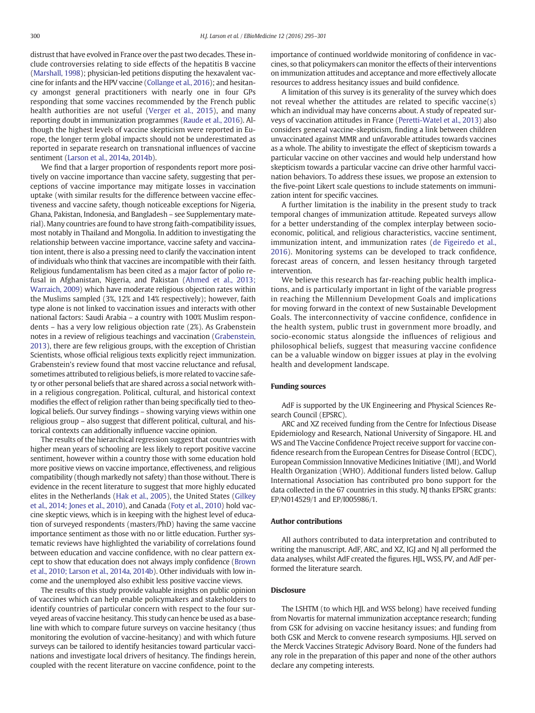distrust that have evolved in France over the past two decades. These include controversies relating to side effects of the hepatitis B vaccine [\(Marshall, 1998\)](#page-6-0); physician-led petitions disputing the hexavalent vaccine for infants and the HPV vaccine ([Collange et al., 2016](#page-6-0)); and hesitancy amongst general practitioners with nearly one in four GPs responding that some vaccines recommended by the French public health authorities are not useful ([Verger et al., 2015](#page-6-0)), and many reporting doubt in immunization programmes [\(Raude et al., 2016\)](#page-6-0). Although the highest levels of vaccine skepticism were reported in Europe, the longer term global impacts should not be underestimated as reported in separate research on transnational influences of vaccine sentiment [\(Larson et al., 2014a, 2014b](#page-6-0)).

We find that a larger proportion of respondents report more positively on vaccine importance than vaccine safety, suggesting that perceptions of vaccine importance may mitigate losses in vaccination uptake (with similar results for the difference between vaccine effectiveness and vaccine safety, though noticeable exceptions for Nigeria, Ghana, Pakistan, Indonesia, and Bangladesh – see Supplementary material). Many countries are found to have strong faith-compatibility issues, most notably in Thailand and Mongolia. In addition to investigating the relationship between vaccine importance, vaccine safety and vaccination intent, there is also a pressing need to clarify the vaccination intent of individuals who think that vaccines are incompatible with their faith. Religious fundamentalism has been cited as a major factor of polio refusal in Afghanistan, Nigeria, and Pakistan ([Ahmed et al., 2013;](#page-6-0) [Warraich, 2009\)](#page-6-0) which have moderate religious objection rates within the Muslims sampled (3%, 12% and 14% respectively); however, faith type alone is not linked to vaccination issues and interacts with other national factors: Saudi Arabia – a country with 100% Muslim respondents – has a very low religious objection rate (2%). As Grabenstein notes in a review of religious teachings and vaccination [\(Grabenstein,](#page-6-0) [2013\)](#page-6-0), there are few religious groups, with the exception of Christian Scientists, whose official religious texts explicitly reject immunization. Grabenstein's review found that most vaccine reluctance and refusal, sometimes attributed to religious beliefs, is more related to vaccine safety or other personal beliefs that are shared across a social network within a religious congregation. Political, cultural, and historical context modifies the effect of religion rather than being specifically tied to theological beliefs. Our survey findings – showing varying views within one religious group – also suggest that different political, cultural, and historical contexts can additionally influence vaccine opinion.

The results of the hierarchical regression suggest that countries with higher mean years of schooling are less likely to report positive vaccine sentiment, however within a country those with some education hold more positive views on vaccine importance, effectiveness, and religious compatibility (though markedly not safety) than those without. There is evidence in the recent literature to suggest that more highly educated elites in the Netherlands [\(Hak et al., 2005\)](#page-6-0), the United States ([Gilkey](#page-6-0) [et al., 2014; Jones et al., 2010](#page-6-0)), and Canada [\(Foty et al., 2010](#page-6-0)) hold vaccine skeptic views, which is in keeping with the highest level of education of surveyed respondents (masters/PhD) having the same vaccine importance sentiment as those with no or little education. Further systematic reviews have highlighted the variability of correlations found between education and vaccine confidence, with no clear pattern except to show that education does not always imply confidence [\(Brown](#page-6-0) [et al., 2010; Larson et al., 2014a, 2014b](#page-6-0)). Other individuals with low income and the unemployed also exhibit less positive vaccine views.

The results of this study provide valuable insights on public opinion of vaccines which can help enable policymakers and stakeholders to identify countries of particular concern with respect to the four surveyed areas of vaccine hesitancy. This study can hence be used as a baseline with which to compare future surveys on vaccine hesitancy (thus monitoring the evolution of vaccine-hesitancy) and with which future surveys can be tailored to identify hesitancies toward particular vaccinations and investigate local drivers of hesitancy. The findings herein, coupled with the recent literature on vaccine confidence, point to the importance of continued worldwide monitoring of confidence in vaccines, so that policymakers can monitor the effects of their interventions on immunization attitudes and acceptance and more effectively allocate resources to address hesitancy issues and build confidence.

A limitation of this survey is its generality of the survey which does not reveal whether the attitudes are related to specific vaccine(s) which an individual may have concerns about. A study of repeated surveys of vaccination attitudes in France ([Peretti-Watel et al., 2013](#page-6-0)) also considers general vaccine-skepticism, finding a link between children unvaccinated against MMR and unfavorable attitudes towards vaccines as a whole. The ability to investigate the effect of skepticism towards a particular vaccine on other vaccines and would help understand how skepticism towards a particular vaccine can drive other harmful vaccination behaviors. To address these issues, we propose an extension to the five-point Likert scale questions to include statements on immunization intent for specific vaccines.

A further limitation is the inability in the present study to track temporal changes of immunization attitude. Repeated surveys allow for a better understanding of the complex interplay between socioeconomic, political, and religious characteristics, vaccine sentiment, immunization intent, and immunization rates [\(de Figeiredo et al.,](#page-6-0) [2016](#page-6-0)). Monitoring systems can be developed to track confidence, forecast areas of concern, and lessen hesitancy through targeted intervention.

We believe this research has far-reaching public health implications, and is particularly important in light of the variable progress in reaching the Millennium Development Goals and implications for moving forward in the context of new Sustainable Development Goals. The interconnectivity of vaccine confidence, confidence in the health system, public trust in government more broadly, and socio-economic status alongside the influences of religious and philosophical beliefs, suggest that measuring vaccine confidence can be a valuable window on bigger issues at play in the evolving health and development landscape.

#### Funding sources

AdF is supported by the UK Engineering and Physical Sciences Research Council (EPSRC).

ARC and XZ received funding from the Centre for Infectious Disease Epidemiology and Research, National University of Singapore. HL and WS and The Vaccine Confidence Project receive support for vaccine confidence research from the European Centres for Disease Control (ECDC), European Commission Innovative Medicines Initiative (IMI), and World Health Organization (WHO). Additional funders listed below. Gallup International Association has contributed pro bono support for the data collected in the 67 countries in this study. NJ thanks EPSRC grants: EP/N014529/1 and EP/I005986/1.

#### Author contributions

All authors contributed to data interpretation and contributed to writing the manuscript. AdF, ARC, and XZ, IGJ and NJ all performed the data analyses, whilst AdF created the figures. HJL, WSS, PV, and AdF performed the literature search.

#### **Disclosure**

The LSHTM (to which HJL and WSS belong) have received funding from Novartis for maternal immunization acceptance research; funding from GSK for advising on vaccine hesitancy issues; and funding from both GSK and Merck to convene research symposiums. HJL served on the Merck Vaccines Strategic Advisory Board. None of the funders had any role in the preparation of this paper and none of the other authors declare any competing interests.